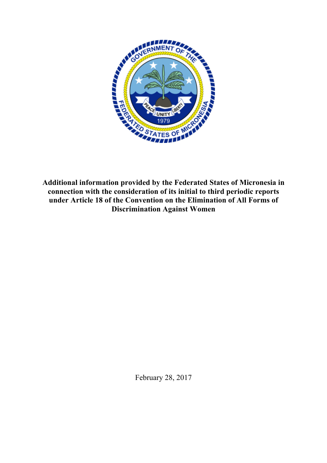

**Additional information provided by the Federated States of Micronesia in connection with the consideration of its initial to third periodic reports under Article 18 of the Convention on the Elimination of All Forms of Discrimination Against Women**

February 28, 2017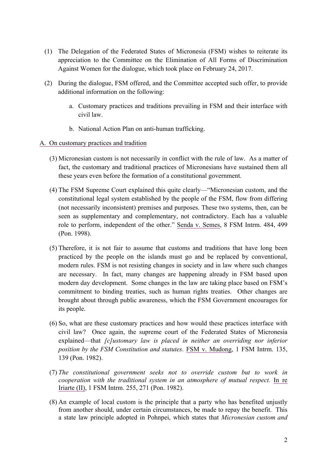- (1) The Delegation of the Federated States of Micronesia (FSM) wishes to reiterate its appreciation to the Committee on the Elimination of All Forms of Discrimination Against Women for the dialogue, which took place on February 24, 2017.
- (2) During the dialogue, FSM offered, and the Committee accepted such offer, to provide additional information on the following:
	- a. Customary practices and traditions prevailing in FSM and their interface with civil law.
	- b. National Action Plan on anti-human trafficking.
- A. On customary practices and tradition
	- (3) Micronesian custom is not necessarily in conflict with the rule of law. As a matter of fact, the customary and traditional practices of Micronesians have sustained them all these years even before the formation of a constitutional government.
	- (4) The FSM Supreme Court explained this quite clearly—"Micronesian custom, and the constitutional legal system established by the people of the FSM, flow from differing (not necessarily inconsistent) premises and purposes. These two systems, then, can be seen as supplementary and complementary, not contradictory. Each has a valuable role to perform, independent of the other." Senda v. Semes, 8 FSM Intrm. 484, 499 (Pon. 1998).
	- (5) Therefore, it is not fair to assume that customs and traditions that have long been practiced by the people on the islands must go and be replaced by conventional, modern rules. FSM is not resisting changes in society and in law where such changes are necessary. In fact, many changes are happening already in FSM based upon modern day development. Some changes in the law are taking place based on FSM's commitment to binding treaties, such as human rights treaties. Other changes are brought about through public awareness, which the FSM Government encourages for its people.
	- (6) So, what are these customary practices and how would these practices interface with civil law? Once again, the supreme court of the Federated States of Micronesia explained—that *[c]ustomary law is placed in neither an overriding nor inferior position by the FSM Constitution and statutes*. FSM v. Mudong, 1 FSM Intrm. 135, 139 (Pon. 1982).
	- (7) *The constitutional government seeks not to override custom but to work in cooperation with the traditional system in an atmosphere of mutual respect.* In re Iriarte (II), 1 FSM Intrm. 255, 271 (Pon. 1982).
	- (8) An example of local custom is the principle that a party who has benefited unjustly from another should, under certain circumstances, be made to repay the benefit. This a state law principle adopted in Pohnpei, which states that *Micronesian custom and*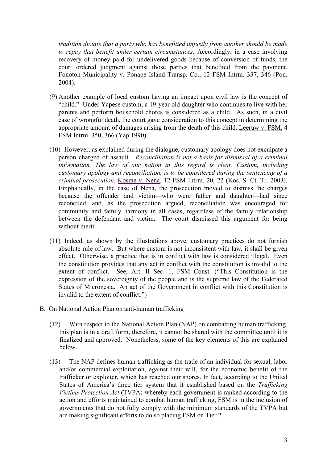*tradition dictate that a party who has benefitted unjustly from another should be made to repay that benefit under certain circumstances*. Accordingly, in a case involving recovery of money paid for undelivered goods because of conversion of funds, the court ordered judgment against those parties that benefited from the payment. Fonoton Municipality v. Ponape Island Transp. Co., 12 FSM Intrm. 337, 346 (Pon. 2004).

- (9) Another example of local custom having an impact upon civil law is the concept of "child." Under Yapese custom, a 19-year old daughter who continues to live with her parents and perform household chores is considered as a child. As such, in a civil case of wrongful death, the court gave consideration to this concept in determining the appropriate amount of damages arising from the death of this child. Leeruw v. FSM, 4 FSM Intrm. 350, 366 (Yap 1990).
- (10) However, as explained during the dialogue, customary apology does not exculpate a person charged of assault. *Reconciliation is not a basis for dismissal of a criminal information. The law of our nation in this regard is clear. Custom, including customary apology and reconciliation, is to be considered during the sentencing of a criminal prosecution*. Kosrae v. Nena, 12 FSM Intrm. 20, 22 (Kos. S. Ct. Tr. 2003). Emphatically, in the case of Nena, the prosecution moved to dismiss the charges because the offender and victim—who were father and daughter—had since reconciled, and, as the prosecution argued, reconciliation was encouraged for community and family harmony in all cases, regardless of the family relationship between the defendant and victim. The court dismissed this argument for being without merit.
- (11) Indeed, as shown by the illustrations above, customary practices do not furnish absolute rule of law. But where custom is not inconsistent with law, it shall be given effect. Otherwise, a practice that is in conflict with law is considered illegal. Even the constitution provides that any act in conflict with the constitution is invalid to the extent of conflict. See, Art. II Sec. 1, FSM Const. ("This Constitution is the expression of the sovereignty of the people and is the supreme law of the Federated States of Micronesia. An act of the Government in conflict with this Constitution is invalid to the extent of conflict.")
- B. On National Action Plan on anti-human trafficking
	- (12) With respect to the National Action Plan (NAP) on combatting human trafficking, this plan is in a draft form, therefore, it cannot be shared with the committee until it is finalized and approved. Nonetheless, some of the key elements of this are explained below.
	- (13) The NAP defines human trafficking as the trade of an individual for sexual, labor and/or commercial exploitation, against their will, for the economic benefit of the trafficker or exploiter, which has reached our shores. In fact, according to the United States of America's three tier system that it established based on the *Trafficking Victims Protection Act* (TVPA) whereby each government is ranked according to the action and efforts maintained to combat human trafficking, FSM is in the inclusion of governments that do not fully comply with the minimum standards of the TVPA but are making significant efforts to do so placing FSM on Tier 2.